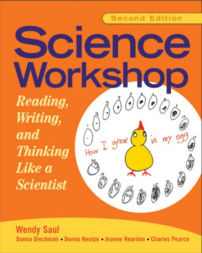**Second Edition** 

# elence Vorksho

Reading, Writing, and **Thinking** Like a **Scientist** 



**Wendy Saul** Donna Dieckman • Donna Neutze • Jeanne Reardon • Charles Pearce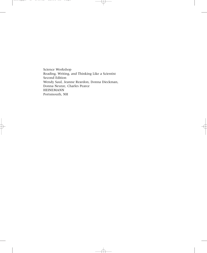Science Workshop Reading, Writing, and Thinking Like a Scientist Second Edition Wendy Saul, Jeanne Reardon, Donna Dieckman, Donna Neutze, Charles Pearce HEINEMANN Portsmouth, NH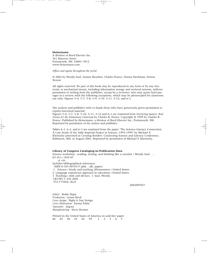#### **Heinemann**

A division of Reed Elsevier Inc. 361 Hanover Street Portsmouth, NH 03801–3912 www.heinemann.com

*Offices and agents throughout the world*

© 2002 by Wendy Saul, Jeanne Reardon, Charles Pearce, Donna Dieckman, Donna Neutze

All rights reserved. No part of this book may be reproduced in any form or by any electronic or mechanical means, including information storage and retrieval systems, without permission in writing from the publisher, except by a reviewer, who may quote brief passages in a review, with the following exceptions, which may be photocopied for classroom use only: Figures 3–4, 3–7, 3–8, 3–9, 3–10, 3–11, 3–12, and 6–1.

The authors and publisher wish to thank those who have generously given permission to reprint borrowed material:

Figures 3–4, 3–7, 3–8, 3–10, 3–11, 3–12 and 6–1 are reprinted from *Nurturing Inquiry: Real Science for the Elementary Classroom* by Charles R. Pearce. Copyright © 1999 by Charles R. Pearce. Published by Heinemann, a division of Reed Elsevier Inc., Portsmouth, NH. Reprinted by permission of the author and publisher.

Tables 6–1, 6–2, and 6–3 are reprinted from the paper "The Science–Literacy Connection: A Case Study of the Valle Imperial Project in Science, 1995–1999" by Michael P. Klentschy presented at Crossing Borders: Connecting Science and Literacy Conference, Baltimore, MD, in August 2001. Reprinted by permission of Michael P. Klentschy.

#### **Library of Congress Cataloging-in-Publication Data**

Science workshop : reading, writing, and thinking like a scientist / Wendy Saul . . . [et al.].—2nd ed. p. cm. Includes bibliographical references. ISBN 0-325-00510-9 (pbk. : alk. paper) 1. Science—Study and teaching (Elementary)—United States. 2. Language experience approach in education—United States. 3. Teaching—Aids and devices. I. Saul, Wendy. LB1585.3 .S36 2002 372.3'5'044—dc21

2002005927

*Editor*: Robin Najar *Production*: Lynne Reed *Cover design*: Night & Day Design *Cover illustration*: Emma Tobin *Typesetter*: Argosy *Manufacturing*: Steve Bernier

Printed in the United States of America on acid-free paper 06 05 04 03 02 VP 1 2 3 4 5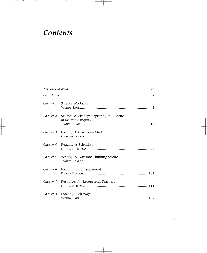## *Contents*

|           | Chapter 1 Science Workshop                                       |  |
|-----------|------------------------------------------------------------------|--|
| Chapter 2 | Science Workshop: Capturing the Essence<br>of Scientific Inquiry |  |
| Chapter 3 | Inquiry: A Classroom Model                                       |  |
| Chapter 4 | Reading as Scientists                                            |  |
| Chapter 5 | Writing: A Way into Thinking Science                             |  |
| Chapter 6 | Inquiring into Assessment                                        |  |
| Chapter 7 | Resources for Resourceful Teachers                               |  |
| Chapter 8 | Looking Both Ways                                                |  |

. . . . . . . . . . . . . . . . . . . . . . . . . . . . . . . . . . . . . . . . . . . . . . . . . . . . . . . . . . . . . . . . . . . . . . . . . . . . . . . . . . . . . . . . . . . . . . . . . . . . . . . . . . . . . . . . . . . . . . . . . . . . . . . . . . . .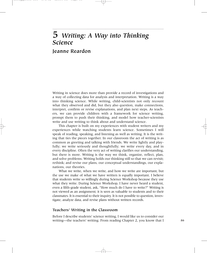### **5** *Writing: A Way into Thinking Science* **Jeanne Reardon**

. . . . . . . . . . . . . . . . . . . . . . . . . . . . . . . . . . . . . . . . . . . . . . . . . . . . . . . . . . . . . . . . . . . . . . . . . . . . . . . . . . . . . . . . . . . . . . . . . . . . . . . . . . . . . . . . . . . . . . . . . . . . . . . . . . . .

Writing in science does more than provide a record of investigations and a way of collecting data for analysis and interpretation. Writing is a way into thinking science. While writing, child-scientists not only recount what they observed and did, but they also question, make connections, interpret, confirm or revise explanations, and plan next steps. As teachers, we can provide children with a framework for science writing, prompt them to push their thinking, and model how teacher-scientists write and use writing to think about and understand science.

This chapter is built on my experiences with student writers and my experiences while watching students learn science. Sometimes I will speak of reading, speaking, and listening as well as writing. It is the writing that ties the pieces together. In our classroom the act of writing is as common as greeting and talking with friends. We write lightly and playfully; we write seriously and thoughtfully; we write every day, and in every discipline. Often the very act of writing clarifies our understanding, but there is more. Writing is the way we think, organize, reflect, plan, and solve problems. Writing holds our thinking still so that we can revisit; rethink; and revise our plans, our conceptual understandings, our explanations, our theories.

What we write, when we write, and how we write are important, but the use we make of what we have written is equally important. I believe that students write so willingly during Science Workshop because they use what they write. During Science Workshop, I have never heard a student, even a fifth-grade student, ask, "How much do I have to write?" Writing is not viewed as an assignment; it is seen as valuable to students and to their classmates. It is essential to their inquiry. It is not possible to question, investigate, analyze data, and revise plans without written records.

#### **Teachers' Writing in the Classroom**

Before I describe students' science writing, I would like us to consider our writing—the teachers' writing. From reading Chapter 2, you know that I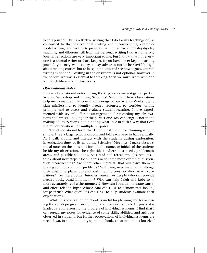keep a journal. This is reflective writing that I do for my teaching-self, as contrasted to the observational writing and recordkeeping, example/ model writing, and writing to prompts that I do as part of my day-by-day teaching, and different still from the personal writing I do at home. My journal reflections are very important to me, but I know that not everyone is a journal writer or diary keeper. If you have never kept a teaching journal, you may want to try it. My advice is not to be slavishly rigid about making entries, but to be spontaneous and see how it goes. Journal writing is optional. Writing in the classroom is not optional, however. If we believe writing is essential to thinking, then we must write with and for the children in our classrooms.

#### *Observational Notes*

I make observational notes during the exploration/investigation part of Science Workshop and during Scientists' Meetings. These observations help me to maintain the course and energy of our Science Workshop, to plan minilessons, to identify needed resources, to consider writing prompts, and to assess and evaluate student learning. I have experimented with several different arrangements for recording my observations and am still looking for the perfect one. My challenge is not in the making of observations, but in noting what I see in such a way that I can use my observations for multiple purposes.

The observational form that I find most useful for planning is quite simple. I use a large spiral notebook and fold each page in half vertically. As I walk around and interact with the students during exploration/ investigation time, or listen during Scientists' Meetings, I make observational notes on the left side. I include the names or initials of the students beside my observation. The right side is where I list needs, problematic areas, and possible solutions. As I read and reread my observations, I think about next steps: "Do students need some more examples of scientists' recordkeeping? Are there other materials that will assist them in finding solutions to their problems? Will using new materials challenge their existing explanations and push them to consider alternative explanations? Are there books, Internet sources, or people who can provide needed background information? Who can help Leigh and Roberto to more accurately read a thermometer? How can I best demonstrate causeand-effect relationships? Whose data can I use to demonstrate looking for patterns? What questions can I ask to help students evaluate their explanations?"

While this observation notebook is useful for planning and for assessing the class's progress toward inquiry and science knowledge goals, it is inadequate for assessing the progress of individual students. I find that I can reread my notes for evidence of some skills, abilities, and attitudes observed in students, but further observations of individual students are needed. So, in addition to my spiral notebook, I also maintain a looseleaf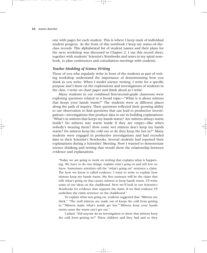one with pages for each student. This is where I keep track of individual student progress. At the front of this notebook I keep my status-of-theclass records. This alphabetical list of student names and their plans for the next workshop was discussed in Chapter 2. I use this record sheet, together with students' Scientist's Notebooks and notes in my spiral notebook, to plan conferences and consultation meetings with students.

#### *Teacher Modeling of Science Writing*

Those of you who regularly write in front of the students as part of writing workshop understand the importance of demonstrating how you think as you write. When I model science writing, I write for a specific purpose and I draw on the explorations and investigations of students in the class. I write on chart paper and think aloud as I write.

Many students in our combined first/second-grade classroom were exploring questions related to a broad topic—"What is it about mittens that keeps your hands warm?" The students were at different places along the path of inquiry. Their questions reflected their growing ability to use observation to find questions that can lead to productive investigations—investigations that produce data to use in building explanations: "What's in mittens that keeps my hands warm? Are mittens always warm inside? Do mittens stay warm inside if they are empty—like when nobody's wearing them? How come wet mittens don't keep my hands warm? Do mittens keep the cold out or do they keep the hot in?" Many students were engaged in productive investigations and had recorded data in their Scientist's Notebooks. Several students had reported their explanations during a Scientists' Meeting. Now I wanted to demonstrate science thinking and writing that would show the relationship between evidence and explanations.

"Today we are going to work on writing that explains what is happening. We have to do two things: explain *what's going on* and tell *how we know*. Sometimes scientists call the "what's going on" sentence a claim. The how we know is called evidence. I want to write to explain how mittens keep my hands warm. My first sentence will be the claim that tells what's going on that causes mittens to keep hands warm. I'll write some of our ideas on the chalkboard. Next we'll look in our Scientist's Notebooks for evidence that supports the claim. If we find evidence I'll underline the claim sentence on the chalkboard."

To explain what was going on, students suggested that "Mittens are thick." "The stuff mittens are made out of keeps the cold from getting in.""Mittens make what's inside get hot.""Mittens keep your hands warm cause the warm can't get out."

I asked, "Did anyone do an investigation to show that mittens keep the cold from getting in?" Three children said they had and so they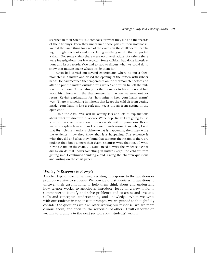searched in their Scientist's Notebooks for what they did and the records of their findings. Then they underlined those parts of their notebooks. We did the same thing for each of the claims on the chalkboard, searching through notebooks and underlining anything we did that supported a claim. For some claims there were no investigations, for others there were investigations, but few records. Some children had done investigations and kept records. (We had to stop to discuss what we could do to show that mittens make what's inside them hot.)

Kevin had carried out several experiments where he put a thermometer in a mitten and closed the opening of the mitten with rubber bands. He had recorded the temperature on the thermometer before and after he put the mitten outside "for a while" and when he left the mitten in our room. He had also put a thermometer in his mitten and had worn his mitten with the thermometer in it when we went out for recess. Kevin's explanation for "how mittens keep your hands warm" was: "There is something in mittens that keeps the cold air from getting inside. Your hand is like a cork and keeps the air from getting in the open end."

I told the class, "We will be writing lots and lots of explanations about what we discover in Science Workshop. Today I am going to use Kevin's investigation to show how scientists write explanations. Kevin wants to explain how mittens keep your hands warm. Remember, I said that first scientists make a claim—what is happening, then they write the evidence—how they know that it is happening. The evidence is what they did and what they found that supports their claim. If there are findings that don't support their claim, scientists write that too. I'll write Kevin's claim on the chart. . . . Now I need to write the evidence. "What did Kevin do that shows something in mittens keeps the cold air from getting in?" I continued thinking aloud, asking the children questions and writing on the chart paper.

#### *Writing in Response to Prompts*

Another type of teacher writing is writing in response to the questions or prompts we give to students. We provide our students with questions to uncover their assumptions, to help them think about and understand how science works; to anticipate, introduce, focus on a new topic; to summarize; to identify and solve problems; and to assess and evaluate skills and conceptual understanding and knowledge. When we write with our students in response to prompts, we are pushed to thoughtfully consider the questions we ask. After writing our response, we are more curious about, and open to, the responses of others. I will elaborate on writing to prompts in the next section about students' writing.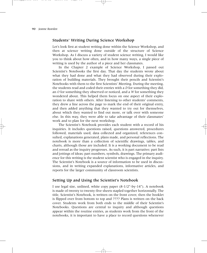#### **Students' Writing During Science Workshop**

Let's look first at student writing done within the Science Workshop, and then at science writing done outside of the structure of Science Workshop. As I discuss a variety of student science writing, I would like you to think about how often, and in how many ways, a single piece of writing is used by the author of a piece and her classmates.

In the Chapter 2 example of Science Workshop, I passed out Scientist's Notebooks the first day. That day the students wrote about what they had done and what they had observed during their exploration of building materials. They brought their pencils and Scientist's Notebooks with them to the first Scientists' Meeting. During the meeting, the students read and coded their entries with a *D* for something they did, an *O* for something they observed or noticed, and a *W* for something they wondered about. This helped them focus on one aspect of their exploration to share with others. After listening to other students' comments, they drew a line across the page to mark the end of their original entry, and then added anything that they wanted to try out for themselves, about which they wanted to find out more, or talk over with someone else. In this way, they were able to take advantage of their classmates' work and to plan for the next workshop.

The Scientist's Notebook provides each student with a record of his inquiries. It includes questions raised, questions answered, procedures followed, materials used, data collected and organized, references consulted, explanations generated, plans made, and personal reflections. The notebook is more than a collection of scientific drawings, tables, and charts, although those are included. It is a working document to be read and reread as the inquiry progresses. As such, it is part narrative; part lists and jottings of ideas; part numbers, symbols, drawings. The primary audience for this writing is the student scientist who is engaged in the inquiry. The Scientist's Notebook is a source of information to be used in discussions, and in writing expanded explanations, informative articles, and reports for the larger community of classroom scientists.

#### **Setting Up and Using the Scientist's Notebook**

I use legal size, unlined, white copy paper (8-1/2"-by-14"). A notebook is made of twenty to twenty-five sheets stapled together horizontally. The title, Scientist's Notebook, is written on the front cover, then the booklet is flipped over from bottom to top and ???? Plans is written on the back cover. Students work from both ends to the middle of their Scientist's Notebooks. Questions are central to inquiry and although questions appear within the routine entries, as students work from the front of the notebooks, it is important to have a place to record questions whenever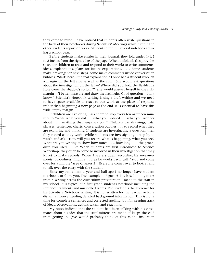they come to mind. I have noticed that students often write questions in the back of their notebooks during Scientists' Meetings while listening to other students report on work. Students often fill several notebooks during a school year.

Before students make entries in their journal, they fold under 1-1/2 to 2 inches from the right edge of the page. When unfolded, this provides space for children to react and respond to their work; to write comments, ideas, explanations, plans for future explorations. . . . Some students make drawings for next steps, some make comments inside conversation bubbles: "Starts here—the real explanation." I once had a student who left a margin on the left side as well as the right. She would ask questions about the investigation on the left—"Where did you hold the flashlight? How come the shadow's so long?" She would answer herself in the right margin—"I better measure and draw the flashlight. Good question—don't know." Scientist's Notebook writing is single-draft writing and we need to have space available to react to our work at the place of response rather than beginning a new page at the end. It is essential to have this wide empty margin.

If children are exploring, I ask them to stop every ten or fifteen minutes to "Write what you did . . . what you noticed . . . what you wonder about . . . anything that surprises you." Children use drawings, lists, phrases, sentences, charts, conversation bubbles, . . . to record what they are exploring and thinking. If students are investigating a question, then they record as they work. While students are investigating, I stop by to watch and ask, "How will you record what is happening, what you see? What are you writing to show how much . . ., how long . . ., the procedure you used . . .?" When students are first introduced to Science Workshop, they often become so involved in their investigation that they forget to make records. When I see a student recording his measurements, procedures, findings . . ., as he works I will call, "Stop and come over for a minute" (see Chapter 2). Everyone comes over to look at and to talk over the entry with the student.

Since my retirement a year and half ago I no longer have student notebooks to show you. The example in Figure 5–1 is based on my notes from a writing across the curriculum presentation I made to the staff in my school. It is typical of a first-grade student's notebook including the sentence fragments and misspelled words. The student is the audience for his Scientist's Notebook writing. It is not written for the teacher or for a distant audience needing detailed background information. This is not a time for complete sentences and corrected spelling, but for keeping track of ideas, observations, actions taken, and reactions.

My notes indicate that the student had been talking with his classmates about his idea that the stuff mittens are made of keeps the cold from getting in. (We would probably think of this as the insulation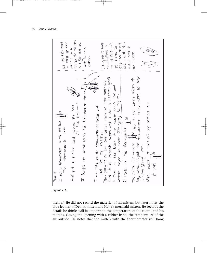



*Figure 5–1.*

theory.) He did not record the material of his mitten, but later notes the blue leather of Deon's mitten and Katie's mermaid mitten. He records the details he thinks will be important: the temperature of the room (and his mitten), closing the opening with a rubber band, the temperature of the air outside. He notes that the mitten with the thermometer will hang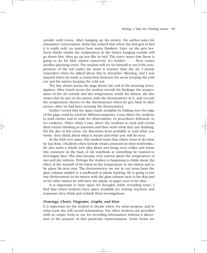outside until recess. After hanging up his mitten, the author joins his classmates' conversation. Katie has noticed that when she first gets in bed it is really cold, no matter how many blankets. Later on she gets hot. Deon thinks maybe the temperature in the mitten hanging outside will go down first, then go up just like in bed. The entry states that Deon is going to do his blue mitten tomorrow. It's leather. . . . Next comes another planning entry. The student will try for himself to see if the temperature of the soil under the snow is warmer than the air. I clearly remember when he talked about this in Scientists' Meeting, and I was amazed when he made a connection between the snow keeping the cold out and his mitten keeping the cold out.

The line drawn across the page shows the end of the morning investigation. After lunch recess the student records his findings: the temperature of the air outside and the temperature inside his mitten. He also writes that he put on his mitten with the thermometer in it, and records the temperature shown on the thermometer when he gets back in after recess—after he had been wearing the thermometer.

Earlier I noted that the space made available by folding over the edge of the page could be used for different purposes. I may direct the students to read entries and to code for observations, or procedures followed, or for evidence. Other times I may direct the students to read and reread their entries thinking as scientists and then write what they are thinking. On the day of this entry, my directions were probably to read what you wrote, then think about what it means and what you will do next.

In the fold-over space, this student notes that others want to do what he has done. (Students often include social comments in their notebooks.) He also starts a whole new idea about wet being even colder and wrote this comment in the back of his notebook as something he wanted to investigate later. The class became very curious about the temperature of wet and dry mittens. Perhaps the student is beginning to think about the effect of the warmth of his hand on the temperature in the mitten and so he plans his next step. The thermometers we use in our room have the glass column stapled to a cardboard or plastic backing. He is going to put one thermometer in his mitten with the glass column next to his skin and in his other mitten he will have the plastic or paper next to his skin.

It is important to have space for thoughts while rereading notes. I find that when students have space available for writing reactions and responses they think and rethink their investigations.

#### *Drawings, Charts, Diagrams, Graphs, and More*

It is important for the student to decide when, for what purpose, and in what form she will record information. Too often students are provided with an empty form to use for recording information without a discussion of the purpose of that particular representation. Some forms are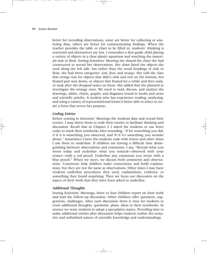better for recording observations, some are better for collecting or analyzing data, others are better for communicating findings. When the teacher provides the table or chart to be filled in, students' thinking is restricted and alternatives are lost. I remember a first-grade child placing a variety of objects in a clear plastic aquarium and watching the materials sink or float. During Scientists' Meeting she shared the chart she had constructed to record her observations. Her chart listed the objects she used along the left side, but rather than the usual headings of sink or float, she had three categories: *sink, float,* and *strange*. She told the class that *strange* was for objects that didn't sink and rest on the bottom, but floated part way down, or objects that floated for a while and then sank, or sank after she dropped water on them. She added that she planned to investigate the strange ones. We need to read, discuss, and analyze the drawings, tables, charts, graphs, and diagrams found in books and news and scientific articles. A student who has experience reading, analyzing, and using a variety of representational forms is better able to select or create a form that serves her purpose.

#### *Coding Entries*

Before coming to Scientists' Meetings the students date and reread their entries. I may direct them to code their entries to facilitate thinking and discussion. Recall that in Chapter 2 I asked the students to use letter codes to mark their notebooks after rereading, "*D* for something you did, *O* if it is something you observed, and *W* if it's something you wonder about." Sometimes I have the students code with letters and other times I ask them to underline. If children are having a difficult time distinguishing between observations and comments, I say, "Reread what you wrote today and underline what you noticed—observed with your senses—with a red pencil. Underline any comments you wrote with a blue pencil." When we meet, we discuss both comments and observations. Comments help children make connections and build explanations, but they are not the same as observations. Other times I may have students underline procedures they used, explanations, evidence, or something they found surprising. Then we focus our discussion on the aspect of their work that they have been asked to underline.

#### *Additional Thoughts*

During Scientists' Meetings, three or four children report on their work and lead the follow-up discussion. Other children offer questions, suggestions, challenges. After each discussion there is time for students to enter additional thoughts, questions, plans, ideas in their notebooks. In science we want students to adopt a speculative stance. Providing time to make additional entries after discussion helps students realize the tentative and unfinished nature of scientific knowledge and understandings.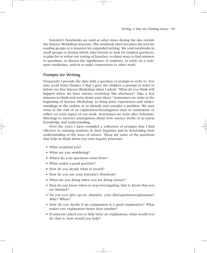Scientist's Notebooks are used at other times during the day outside the Science Workshop structure. The notebook often becomes the text for reading groups or a resource for expanded writing. We read notebooks in small groups or during whole-class lessons to look for implied questions, to plan for or refine our testing of hunches, to share ways to find answers to questions, to discuss the significance of surprises, to settle on a common vocabulary, and/or to make connections to other work.

#### **Prompts for Writing**

Frequently I provide the class with a question or prompt to write to. You may recall from Chapter 2 that I gave the children a prompt to write to before our first Science Workshop when I asked: "What do you think will happen when we have science workshop this afternoon? Take a few minutes to think and write down your ideas." Sometimes we write at the beginning of Science Workshop, to bring prior experiences and understandings to the surface or to identify and consider a problem. We may write at the end of an exploration/investigation time to summarize or reflect on some aspect of our work. Sometimes we write after Scientists' Meetings to uncover assumptions about how science works or to assess knowledge and understanding.

Over the years I have compiled a collection of prompts that I find effective in assisting students in their inquiries and in developing their understanding of the ways of science. These are some of the questions that help us think about our own inquiry processes:

- What surprised you?
- What are you wondering?
- Where do your questions come from?
- What makes a good question?
- How do you decide what to record?
- How do you use your Scientist's Notebook?
- What are you doing when you are doing science?
- How do you know when to stop investigating, that is, know that you are finished?
- Do you ever give up on, abandon, your idea/question/explanation? Why? When?
- How do you decide if an explanation is a good explanation? What makes one explanation better than another?
- If someone asked you to help write an explanation, what would you do, that is, how would you help?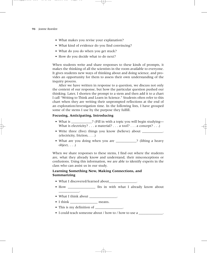- What makes you revise your explanation?
- What kind of evidence do you find convincing?
- What do you do when you get stuck?
- How do you decide what to do next?

When students write and share responses to these kinds of prompts, it makes the thinking of all the scientists in the room available to everyone. It gives students new ways of thinking about and doing science, and provides an opportunity for them to assess their own understanding of the inquiry process.

After we have written in response to a question, we discuss not only the content of our response, but how the particular question pushed our thinking. Later, I shorten the prompt to a stem and then add it to a chart I call "Writing to Think and Learn in Science." Students often refer to this chart when they are writing their unprompted reflections at the end of an exploration/investigation time. In the following lists, I have grouped some of the stems I use by the purpose they fulfill.

#### **Focusing, Anticipating, Introducing**

- What is \_\_\_\_\_\_\_\_\_\_\_? (Fill in with a topic you will begin studying— What is electricity?  $\ldots$  a material?  $\ldots$  a tool?  $\ldots$  a concept?  $\ldots$  )
- Write three (five) things you know (believe) about . (electricity, friction, . . .)
- What are you doing when you are **the contact of the Strategier** ? (lifting a heavy object, . . .)

When we share responses to these stems, I find out where the students are, what they already know and understand, their misconceptions or confusions. Using this information, we are able to identify experts in the class who can assist us in our study.

#### **Learning Something New, Making Connections, and Summarizing**

- What I discovered/learned about
- How \_\_\_\_\_\_\_\_\_\_\_\_\_\_\_\_\_\_\_\_ fits in with what I already know about \_\_\_\_\_\_\_\_\_\_\_\_.
- What I think about \_\_\_\_\_\_\_\_\_\_\_\_\_\_\_.
- I think \_\_\_\_\_\_\_\_\_\_\_\_\_\_\_\_ means.
- This is my definition of \_\_\_\_\_\_\_\_\_\_\_\_\_\_.
- I could teach someone about / how to / how to use a \_\_\_\_\_\_\_\_\_\_\_\_\_.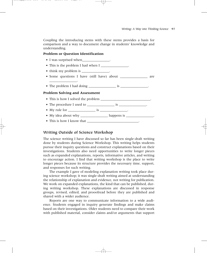Coupling the introducing stems with these stems provides a basis for comparison and a way to document change in students' knowledge and understanding.

#### **Problem or Question Identification**

- I was surprised when
- This is the problem I had when I \_\_\_\_\_\_\_\_\_\_\_\_\_\_.
- think my problem is \_\_\_\_\_\_\_\_\_\_\_\_\_\_.
- Some questions I have (still have) about \_\_\_\_\_\_\_\_\_\_\_\_\_\_\_\_ are
- The problem I had doing \_\_\_\_\_\_\_\_\_\_\_\_\_\_\_\_ is \_\_\_\_\_\_\_\_\_\_\_\_\_\_\_\_.

#### **Problem Solving and Assessment**

 $\overline{\phantom{a}}$  , where  $\overline{\phantom{a}}$ 

- This is how I solved the problem \_\_\_\_\_\_\_\_\_\_\_\_\_\_\_\_\_\_\_\_\_\_\_\_\_\_\_\_\_\_\_.
- The procedure I used to \_\_\_\_\_\_\_\_\_\_\_\_\_\_\_\_ is \_\_\_\_\_\_\_\_\_\_\_\_\_\_\_\_.
- My rule for  $\blacksquare$
- My idea about why \_\_\_\_\_\_\_\_\_\_\_\_\_\_\_\_\_\_ happens is \_\_\_\_\_\_\_\_\_\_\_\_\_\_\_\_.
- This is how I know that  $\equiv$

#### **Writing Outside of Science Workshop**

The science writing I have discussed so far has been single-draft writing done by students during Science Workshop. This writing helps students pursue their inquiry questions and construct explanations based on their investigations. Students also need opportunities to write longer pieces such as expanded explanations, reports, informative articles, and writing to encourage action. I find that writing workshop is the place to write longer pieces because its structure provides the necessary time, support, and responses for such writing.

The example I gave of modeling explanation writing took place during science workshop; it was single-draft writing aimed at understanding the relationship of explanation and evidence, not writing for publication. We work on expanded explanations, the kind that can be published, during writing workshop. These explanations are discussed in response groups, revised, edited, and prooofread before they are published and shared with a wider audience.

Reports are one way to communicate information to a wide audience. Students engaged in inquiry generate findings and make claims based on their investigations. Older students need to compare their work with published material, consider claims and/or arguments that support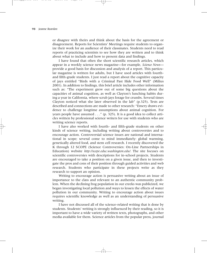or disagree with theirs and think about the basis for the agreement or disagreement. Reports for Scientists' Meetings require students to organize their work for an audience of their classmates. Students need to read reports of practicing scientists to see how they are written and to think about what to include and how to present data and findings.

I have found that often the short scientific research articles, which appear in a weekly science news magazine—for example, *Science News* provide a good basis for discussion and analysis of a report. This particular magazine is written for adults, but I have used articles with fourthand fifth-grade students. I just read a report about the cognitive capacity of jays entitled "Birds with a Criminal Past Hide Food Well" (Milius 2001). In addition to findings, this brief article includes other information such as: "The experiment grew out of some big questions about the capacities of animal cognition, as well as Clayton's lunching habits during a year in California, where scrub jays forage for crumbs. Several times Clayton noticed what she later observed in the lab" (p.325). Tests are described and connections are made to other research: "Emery draws evidence to challenge longtime assumptions about animal cognition. For years people have assumed . . ." (p. 325). It is a good idea to collect articles written by professional science writers for use with students who are writing science reports.

I have also worked with fourth- and fifth-grade students on other kinds of science writing, including writing about controversies and to encourage action. Controversial science issues are national and international in scope; several come to mind immediately: global warming, genetically altered food, and stem cell research. I recently discovered the K through 12 SCOPE (Science Controversies: On-Line Partnerships in Education) website *http://scope.educ.washington.edu/.* The site focuses on scientific controversies with descriptions for in-school projects. Students are encouraged to take a position on a given issue, and then to investigate the pros and cons of their position through guided activities and web research. Students who participate in these projects write as they research to support an opinion.

Writing to encourage action is persuasive writing about an issue of importance to the class and relevant to an authentic community problem. When the declining frog population in our creeks was publicized, we began investigating local pollution and ways to lessen the effects of water pollution in our community. Writing to encourage action about issues requires scientific knowledge as well as an understanding of persuasive writing.

I have not discussed all of the science-related writing that is done by students. Students' writing is strongly influenced by their reading, so it is important to have a wide variety of written texts, photographs, and other media available for them. Science articles from the popular press, journal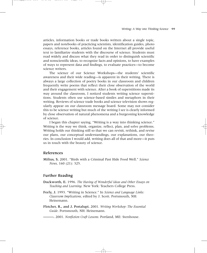articles, information books or trade books written about a single topic, papers and notebooks of practicing scientists, identification guides, photo essays, reference books, articles found on the Internet all provide useful text to familiarize students with the discourse of science. Students must read widely and discuss what they read in order to distinguish scientific and nonscientific ideas, to recognize facts and opinions, to have examples of ways to represent data and findings, to evaluate practices—to become science writers.

The science of our Science Workshops—the students' scientific awareness and their wide reading—is apparent in their writing. There is always a large collection of poetry books in our classroom and children frequently write poems that reflect their close observation of the world and their engagement with science. After a book of superstitions made its way around the classroom, I noticed students writing science superstitions. Students often use science-based similes and metaphors in their writing. Reviews of science trade books and science television shows regularly appear on our classroom message board. Some may not consider this to be science writing but much of the writing I see is clearly informed by close observation of natural phenomena and a burgeoning knowledge of science.

I began this chapter saying, "Writing is a way into thinking science." Writing is the way we think, organize, reflect, plan, and solve problems. Writing holds our thinking still so that we can revisit, rethink, and revise our plans, our conceptual understandings, our explanations, our theories. In conclusion I would add, writing does all of that and more—it puts us in touch with the beauty of science.

#### **References**

Milius, S. 2001. "Birds with a Criminal Past Hide Food Well." *Science News*, 160 (21): 325.

#### **Further Reading**

- Duckworth, E. 1996. *The Having of Wonderful Ideas and Other Essays on Teaching and Learning*. New York: Teachers College Press.
- Feely, J. 1993. "Writing in Science." In *Science and Language Links: Classroom Implications,* edited by J. Scott. Portsmouth, NH: Heinemann.
- Fletcher, R., and J. Portalupi. 2001. *Writing Workshop: The Essential Guide*. Portsmouth, NH: Heinemann.
	- ———. 2001. *Nonfiction Craft Lessons.* Portland, ME: Stenhouse.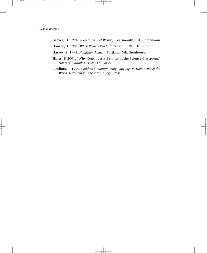- Graves, D. 1994. *A Fresh Look at Writing*. Portsmouth, NH: Heinemann.
- Hansen, J. 1987. *When Writers Read*. Portsmouth, NH: Heinemann.
- Harvey, S. 1998. *Nonfiction Matters*. Portland, ME: Stenhouse.
- Hines, P. 2001. "Why Controversy Belongs in the Science Classroom." *Harvard Education Letter* (17) (2) 8.
- Lindfors, J. 1999. *Children's Inquiry: Using Language to Make Sense of the World.* New York: Teachers College Press.